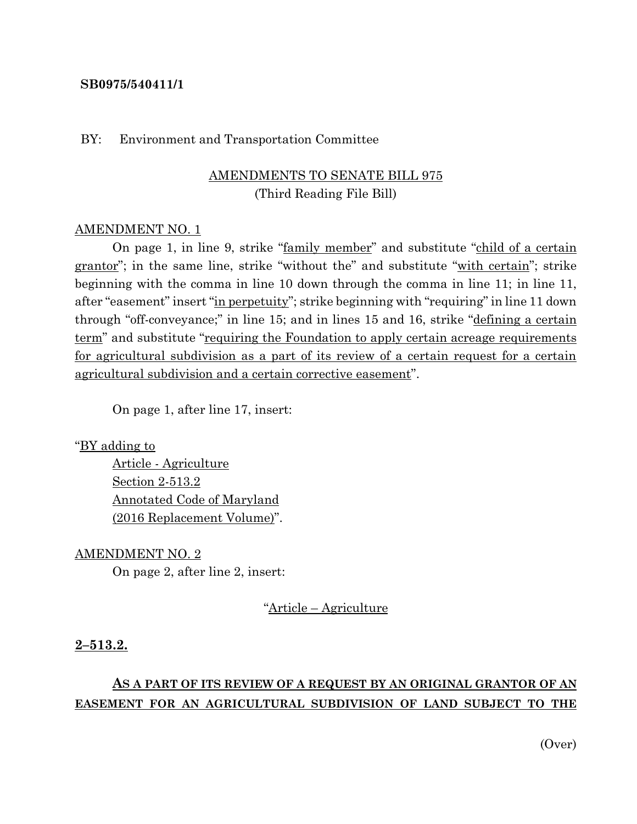#### **SB0975/540411/1**

#### BY: Environment and Transportation Committee

# AMENDMENTS TO SENATE BILL 975 (Third Reading File Bill)

#### AMENDMENT NO. 1

On page 1, in line 9, strike "family member" and substitute "child of a certain grantor"; in the same line, strike "without the" and substitute "with certain"; strike beginning with the comma in line 10 down through the comma in line 11; in line 11, after "easement" insert "in perpetuity"; strike beginning with "requiring" in line 11 down through "off-conveyance;" in line 15; and in lines 15 and 16, strike "defining a certain term" and substitute "requiring the Foundation to apply certain acreage requirements for agricultural subdivision as a part of its review of a certain request for a certain agricultural subdivision and a certain corrective easement".

On page 1, after line 17, insert:

"BY adding to

Article - Agriculture Section 2-513.2 Annotated Code of Maryland (2016 Replacement Volume)".

AMENDMENT NO. 2

On page 2, after line 2, insert:

"Article – Agriculture

#### **2–513.2.**

# **AS A PART OF ITS REVIEW OF A REQUEST BY AN ORIGINAL GRANTOR OF AN EASEMENT FOR AN AGRICULTURAL SUBDIVISION OF LAND SUBJECT TO THE**

(Over)